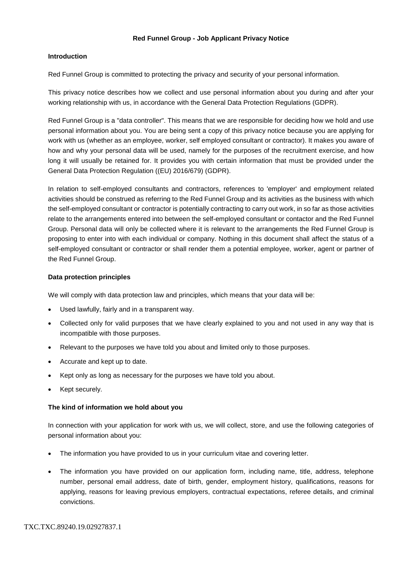### **Red Funnel Group - Job Applicant Privacy Notice**

## **Introduction**

Red Funnel Group is committed to protecting the privacy and security of your personal information.

This privacy notice describes how we collect and use personal information about you during and after your working relationship with us, in accordance with the General Data Protection Regulations (GDPR).

Red Funnel Group is a "data controller". This means that we are responsible for deciding how we hold and use personal information about you. You are being sent a copy of this privacy notice because you are applying for work with us (whether as an employee, worker, self employed consultant or contractor). It makes you aware of how and why your personal data will be used, namely for the purposes of the recruitment exercise, and how long it will usually be retained for. It provides you with certain information that must be provided under the General Data Protection Regulation ((EU) 2016/679) (GDPR).

In relation to self-employed consultants and contractors, references to 'employer' and employment related activities should be construed as referring to the Red Funnel Group and its activities as the business with which the self-employed consultant or contractor is potentially contracting to carry out work, in so far as those activities relate to the arrangements entered into between the self-employed consultant or contactor and the Red Funnel Group. Personal data will only be collected where it is relevant to the arrangements the Red Funnel Group is proposing to enter into with each individual or company. Nothing in this document shall affect the status of a self-employed consultant or contractor or shall render them a potential employee, worker, agent or partner of the Red Funnel Group.

### **Data protection principles**

We will comply with data protection law and principles, which means that your data will be:

- Used lawfully, fairly and in a transparent way.
- Collected only for valid purposes that we have clearly explained to you and not used in any way that is incompatible with those purposes.
- Relevant to the purposes we have told you about and limited only to those purposes.
- Accurate and kept up to date.
- Kept only as long as necessary for the purposes we have told you about.
- Kept securely.

#### **The kind of information we hold about you**

In connection with your application for work with us, we will collect, store, and use the following categories of personal information about you:

- The information you have provided to us in your curriculum vitae and covering letter.
- The information you have provided on our application form, including name, title, address, telephone number, personal email address, date of birth, gender, employment history, qualifications, reasons for applying, reasons for leaving previous employers, contractual expectations, referee details, and criminal convictions.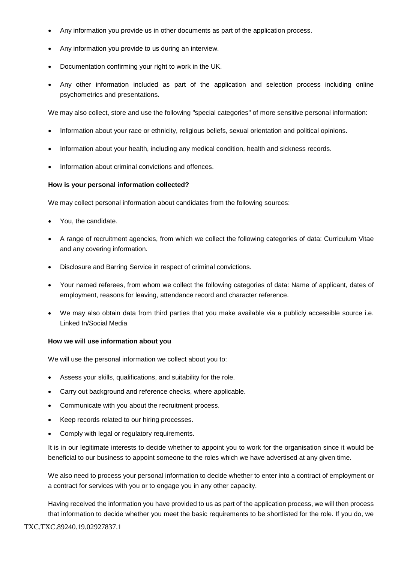- Any information you provide us in other documents as part of the application process.
- Any information you provide to us during an interview.
- Documentation confirming your right to work in the UK.
- Any other information included as part of the application and selection process including online psychometrics and presentations.

We may also collect, store and use the following "special categories" of more sensitive personal information:

- Information about your race or ethnicity, religious beliefs, sexual orientation and political opinions.
- Information about your health, including any medical condition, health and sickness records.
- Information about criminal convictions and offences.

#### **How is your personal information collected?**

We may collect personal information about candidates from the following sources:

- You, the candidate.
- A range of recruitment agencies, from which we collect the following categories of data: Curriculum Vitae and any covering information.
- Disclosure and Barring Service in respect of criminal convictions.
- Your named referees, from whom we collect the following categories of data: Name of applicant, dates of employment, reasons for leaving, attendance record and character reference.
- We may also obtain data from third parties that you make available via a publicly accessible source i.e. Linked In/Social Media

#### **How we will use information about you**

We will use the personal information we collect about you to:

- Assess your skills, qualifications, and suitability for the role.
- Carry out background and reference checks, where applicable.
- Communicate with you about the recruitment process.
- Keep records related to our hiring processes.
- Comply with legal or regulatory requirements.

It is in our legitimate interests to decide whether to appoint you to work for the organisation since it would be beneficial to our business to appoint someone to the roles which we have advertised at any given time.

We also need to process your personal information to decide whether to enter into a contract of employment or a contract for services with you or to engage you in any other capacity.

Having received the information you have provided to us as part of the application process, we will then process that information to decide whether you meet the basic requirements to be shortlisted for the role. If you do, we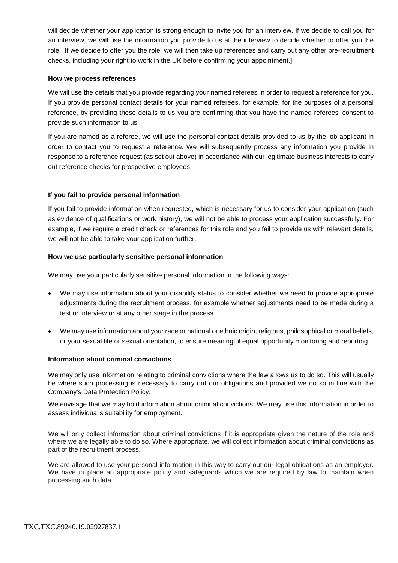will decide whether your application is strong enough to invite you for an interview. If we decide to call you for an interview, we will use the information you provide to us at the interview to decide whether to offer you the role. If we decide to offer you the role, we will then take up references and carry out any other pre-recruitment checks, including your right to work in the UK before confirming your appointment.]

### **How we process references**

We will use the details that you provide regarding your named referees in order to request a reference for you. If you provide personal contact details for your named referees, for example, for the purposes of a personal reference, by providing these details to us you are confirming that you have the named referees' consent to provide such information to us.

If you are named as a referee, we will use the personal contact details provided to us by the job applicant in order to contact you to request a reference. We will subsequently process any information you provide in response to a reference request (as set out above) in accordance with our legitimate business interests to carry out reference checks for prospective employees.

## **If you fail to provide personal information**

If you fail to provide information when requested, which is necessary for us to consider your application (such as evidence of qualifications or work history), we will not be able to process your application successfully. For example, if we require a credit check or references for this role and you fail to provide us with relevant details, we will not be able to take your application further.

### **How we use particularly sensitive personal information**

We may use your particularly sensitive personal information in the following ways:

- We may use information about your disability status to consider whether we need to provide appropriate adjustments during the recruitment process, for example whether adjustments need to be made during a test or interview or at any other stage in the process.
- We may use information about your race or national or ethnic origin, religious, philosophical or moral beliefs, or your sexual life or sexual orientation, to ensure meaningful equal opportunity monitoring and reporting.

#### **Information about criminal convictions**

We may only use information relating to criminal convictions where the law allows us to do so. This will usually be where such processing is necessary to carry out our obligations and provided we do so in line with the Company's Data Protection Policy.

We envisage that we may hold information about criminal convictions. We may use this information in order to assess individual's suitability for employment.

We will only collect information about criminal convictions if it is appropriate given the nature of the role and where we are legally able to do so. Where appropriate, we will collect information about criminal convictions as part of the recruitment process.

We are allowed to use your personal information in this way to carry out our legal obligations as an employer. We have in place an appropriate policy and safeguards which we are required by law to maintain when processing such data.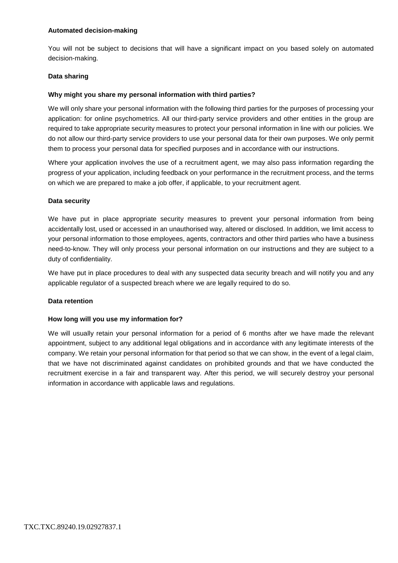## **Automated decision-making**

You will not be subject to decisions that will have a significant impact on you based solely on automated decision-making.

# **Data sharing**

# **Why might you share my personal information with third parties?**

We will only share your personal information with the following third parties for the purposes of processing your application: for online psychometrics. All our third-party service providers and other entities in the group are required to take appropriate security measures to protect your personal information in line with our policies. We do not allow our third-party service providers to use your personal data for their own purposes. We only permit them to process your personal data for specified purposes and in accordance with our instructions.

Where your application involves the use of a recruitment agent, we may also pass information regarding the progress of your application, including feedback on your performance in the recruitment process, and the terms on which we are prepared to make a job offer, if applicable, to your recruitment agent.

# **Data security**

We have put in place appropriate security measures to prevent your personal information from being accidentally lost, used or accessed in an unauthorised way, altered or disclosed. In addition, we limit access to your personal information to those employees, agents, contractors and other third parties who have a business need-to-know. They will only process your personal information on our instructions and they are subject to a duty of confidentiality.

We have put in place procedures to deal with any suspected data security breach and will notify you and any applicable regulator of a suspected breach where we are legally required to do so.

## **Data retention**

## **How long will you use my information for?**

We will usually retain your personal information for a period of 6 months after we have made the relevant appointment, subject to any additional legal obligations and in accordance with any legitimate interests of the company. We retain your personal information for that period so that we can show, in the event of a legal claim, that we have not discriminated against candidates on prohibited grounds and that we have conducted the recruitment exercise in a fair and transparent way. After this period, we will securely destroy your personal information in accordance with applicable laws and regulations.